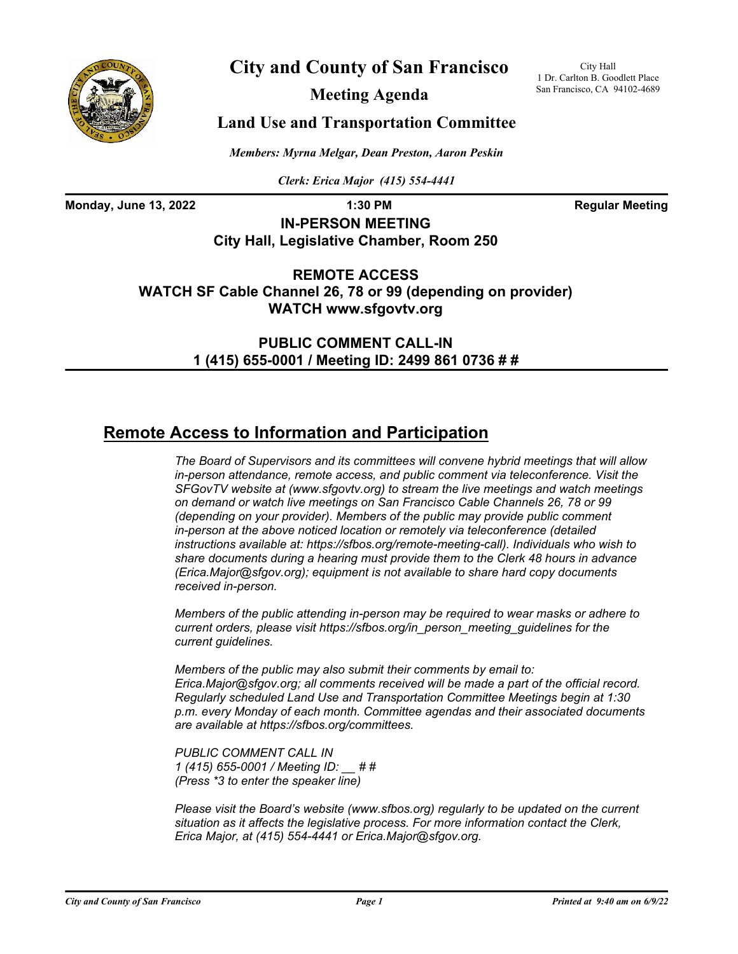

# **City and County of San Francisco**

**Meeting Agenda**

City Hall 1 Dr. Carlton B. Goodlett Place San Francisco, CA 94102-4689

### **Land Use and Transportation Committee**

*Members: Myrna Melgar, Dean Preston, Aaron Peskin*

*Clerk: Erica Major (415) 554-4441*

**Monday, June 13, 2022 1:30 PM 1:30 PM Regular Meeting** 

**IN-PERSON MEETING City Hall, Legislative Chamber, Room 250**

**REMOTE ACCESS WATCH SF Cable Channel 26, 78 or 99 (depending on provider) WATCH www.sfgovtv.org**

> **PUBLIC COMMENT CALL-IN 1 (415) 655-0001 / Meeting ID: 2499 861 0736 # #**

# **Remote Access to Information and Participation**

*The Board of Supervisors and its committees will convene hybrid meetings that will allow in-person attendance, remote access, and public comment via teleconference. Visit the SFGovTV website at (www.sfgovtv.org) to stream the live meetings and watch meetings on demand or watch live meetings on San Francisco Cable Channels 26, 78 or 99 (depending on your provider). Members of the public may provide public comment in-person at the above noticed location or remotely via teleconference (detailed instructions available at: https://sfbos.org/remote-meeting-call). Individuals who wish to share documents during a hearing must provide them to the Clerk 48 hours in advance (Erica.Major@sfgov.org); equipment is not available to share hard copy documents received in-person.*

*Members of the public attending in-person may be required to wear masks or adhere to current orders, please visit https://sfbos.org/in\_person\_meeting\_guidelines for the current guidelines.*

*Members of the public may also submit their comments by email to: Erica.Major@sfgov.org; all comments received will be made a part of the official record. Regularly scheduled Land Use and Transportation Committee Meetings begin at 1:30 p.m. every Monday of each month. Committee agendas and their associated documents are available at https://sfbos.org/committees.*

*PUBLIC COMMENT CALL IN 1 (415) 655-0001 / Meeting ID: \_\_ # # (Press \*3 to enter the speaker line)*

*Please visit the Board's website (www.sfbos.org) regularly to be updated on the current situation as it affects the legislative process. For more information contact the Clerk, Erica Major, at (415) 554-4441 or Erica.Major@sfgov.org.*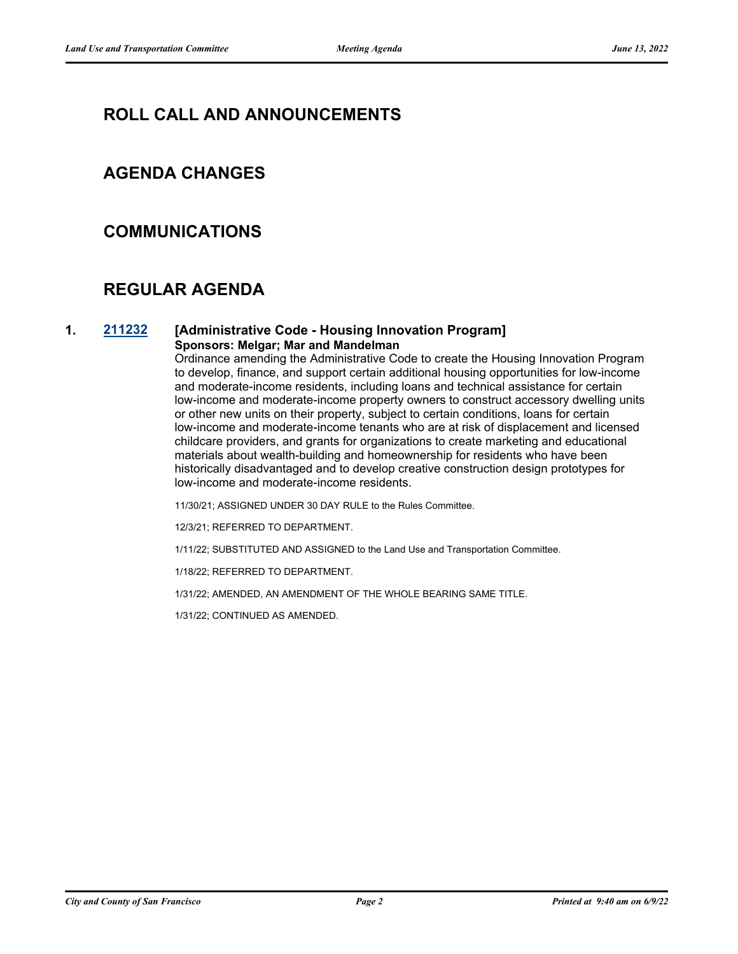## **ROLL CALL AND ANNOUNCEMENTS**

### **AGENDA CHANGES**

### **COMMUNICATIONS**

## **REGULAR AGENDA**

#### **1. [211232](http://sfgov.legistar.com/gateway.aspx?m=l&id=38102) [Administrative Code - Housing Innovation Program] Sponsors: Melgar; Mar and Mandelman**

Ordinance amending the Administrative Code to create the Housing Innovation Program to develop, finance, and support certain additional housing opportunities for low-income and moderate-income residents, including loans and technical assistance for certain low-income and moderate-income property owners to construct accessory dwelling units or other new units on their property, subject to certain conditions, loans for certain low-income and moderate-income tenants who are at risk of displacement and licensed childcare providers, and grants for organizations to create marketing and educational materials about wealth-building and homeownership for residents who have been historically disadvantaged and to develop creative construction design prototypes for low-income and moderate-income residents.

11/30/21; ASSIGNED UNDER 30 DAY RULE to the Rules Committee.

12/3/21; REFERRED TO DEPARTMENT.

1/11/22; SUBSTITUTED AND ASSIGNED to the Land Use and Transportation Committee.

1/18/22; REFERRED TO DEPARTMENT.

1/31/22; AMENDED, AN AMENDMENT OF THE WHOLE BEARING SAME TITLE.

1/31/22; CONTINUED AS AMENDED.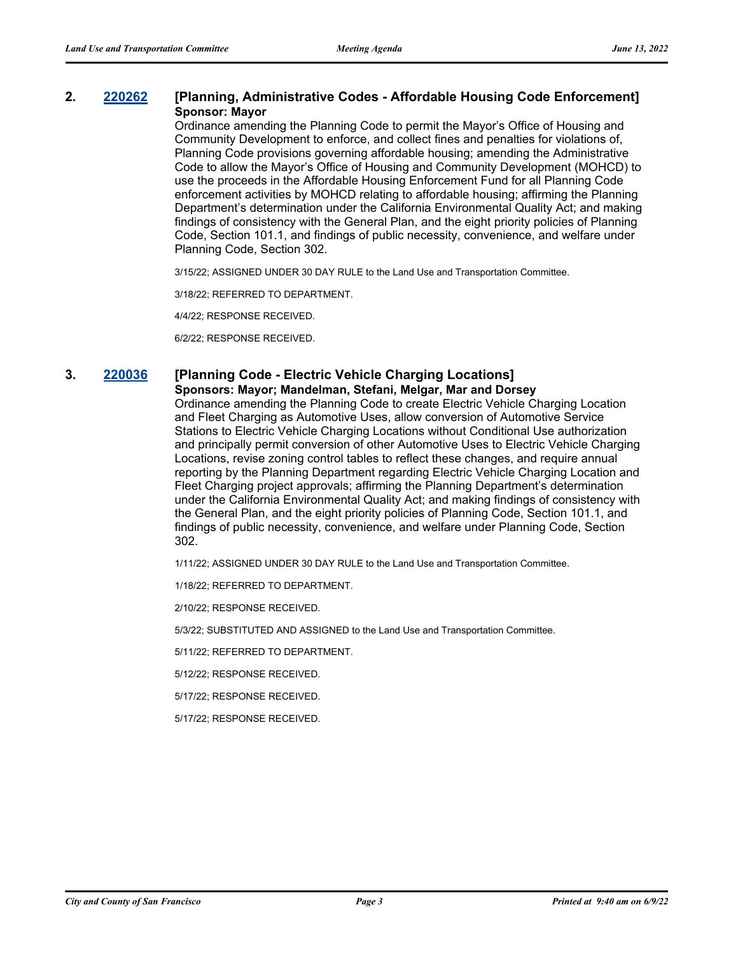#### **2. [220262](http://sfgov.legistar.com/gateway.aspx?m=l&id=38454) [Planning, Administrative Codes - Affordable Housing Code Enforcement] Sponsor: Mayor**

Ordinance amending the Planning Code to permit the Mayor's Office of Housing and Community Development to enforce, and collect fines and penalties for violations of, Planning Code provisions governing affordable housing; amending the Administrative Code to allow the Mayor's Office of Housing and Community Development (MOHCD) to use the proceeds in the Affordable Housing Enforcement Fund for all Planning Code enforcement activities by MOHCD relating to affordable housing; affirming the Planning Department's determination under the California Environmental Quality Act; and making findings of consistency with the General Plan, and the eight priority policies of Planning Code, Section 101.1, and findings of public necessity, convenience, and welfare under Planning Code, Section 302.

3/15/22; ASSIGNED UNDER 30 DAY RULE to the Land Use and Transportation Committee.

3/18/22; REFERRED TO DEPARTMENT.

4/4/22; RESPONSE RECEIVED.

6/2/22; RESPONSE RECEIVED.

### **3. [220036](http://sfgov.legistar.com/gateway.aspx?m=l&id=38231) [Planning Code - Electric Vehicle Charging Locations]**

#### **Sponsors: Mayor; Mandelman, Stefani, Melgar, Mar and Dorsey** Ordinance amending the Planning Code to create Electric Vehicle Charging Location and Fleet Charging as Automotive Uses, allow conversion of Automotive Service Stations to Electric Vehicle Charging Locations without Conditional Use authorization and principally permit conversion of other Automotive Uses to Electric Vehicle Charging Locations, revise zoning control tables to reflect these changes, and require annual reporting by the Planning Department regarding Electric Vehicle Charging Location and Fleet Charging project approvals; affirming the Planning Department's determination

under the California Environmental Quality Act; and making findings of consistency with the General Plan, and the eight priority policies of Planning Code, Section 101.1, and findings of public necessity, convenience, and welfare under Planning Code, Section 302.

1/11/22; ASSIGNED UNDER 30 DAY RULE to the Land Use and Transportation Committee.

1/18/22; REFERRED TO DEPARTMENT.

2/10/22; RESPONSE RECEIVED.

5/3/22; SUBSTITUTED AND ASSIGNED to the Land Use and Transportation Committee.

5/11/22; REFERRED TO DEPARTMENT.

5/12/22; RESPONSE RECEIVED.

5/17/22; RESPONSE RECEIVED.

5/17/22; RESPONSE RECEIVED.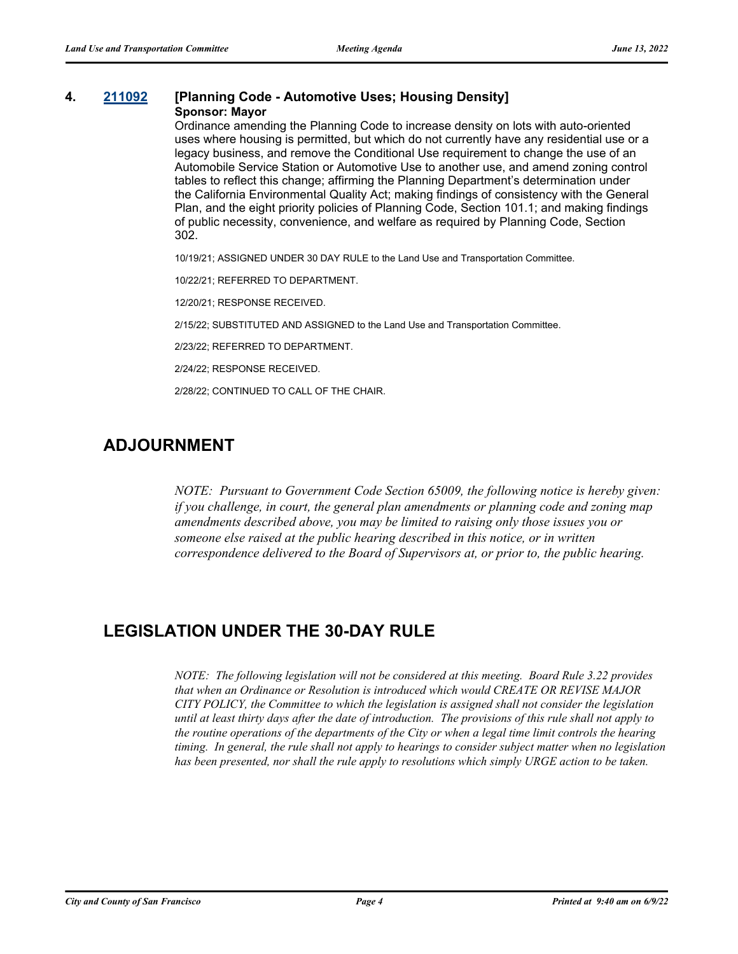#### **4. [211092](http://sfgov.legistar.com/gateway.aspx?m=l&id=37962) [Planning Code - Automotive Uses; Housing Density] Sponsor: Mayor**

Ordinance amending the Planning Code to increase density on lots with auto-oriented uses where housing is permitted, but which do not currently have any residential use or a legacy business, and remove the Conditional Use requirement to change the use of an Automobile Service Station or Automotive Use to another use, and amend zoning control tables to reflect this change; affirming the Planning Department's determination under the California Environmental Quality Act; making findings of consistency with the General Plan, and the eight priority policies of Planning Code, Section 101.1; and making findings of public necessity, convenience, and welfare as required by Planning Code, Section 302.

10/19/21; ASSIGNED UNDER 30 DAY RULE to the Land Use and Transportation Committee.

10/22/21; REFERRED TO DEPARTMENT.

12/20/21; RESPONSE RECEIVED.

2/15/22; SUBSTITUTED AND ASSIGNED to the Land Use and Transportation Committee.

2/23/22; REFERRED TO DEPARTMENT.

2/24/22; RESPONSE RECEIVED.

2/28/22; CONTINUED TO CALL OF THE CHAIR.

### **ADJOURNMENT**

*NOTE: Pursuant to Government Code Section 65009, the following notice is hereby given: if you challenge, in court, the general plan amendments or planning code and zoning map amendments described above, you may be limited to raising only those issues you or someone else raised at the public hearing described in this notice, or in written correspondence delivered to the Board of Supervisors at, or prior to, the public hearing.*

## **LEGISLATION UNDER THE 30-DAY RULE**

*NOTE: The following legislation will not be considered at this meeting. Board Rule 3.22 provides that when an Ordinance or Resolution is introduced which would CREATE OR REVISE MAJOR CITY POLICY, the Committee to which the legislation is assigned shall not consider the legislation until at least thirty days after the date of introduction. The provisions of this rule shall not apply to the routine operations of the departments of the City or when a legal time limit controls the hearing timing. In general, the rule shall not apply to hearings to consider subject matter when no legislation has been presented, nor shall the rule apply to resolutions which simply URGE action to be taken.*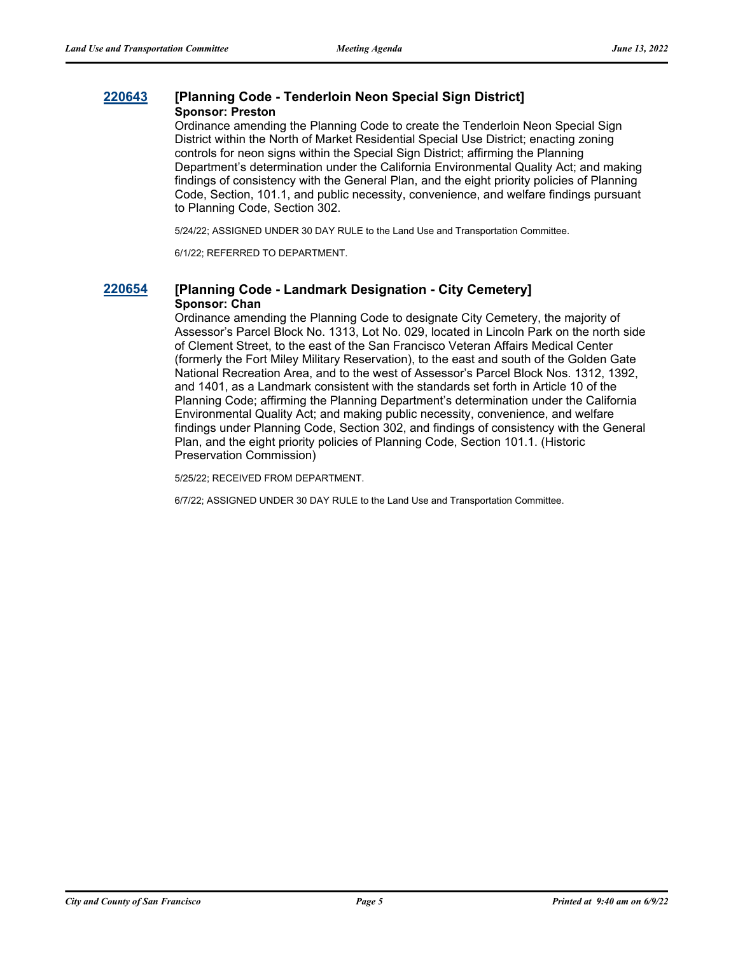### **[220643](http://sfgov.legistar.com/gateway.aspx?m=l&id=38835) [Planning Code - Tenderloin Neon Special Sign District] Sponsor: Preston**

Ordinance amending the Planning Code to create the Tenderloin Neon Special Sign District within the North of Market Residential Special Use District; enacting zoning controls for neon signs within the Special Sign District; affirming the Planning Department's determination under the California Environmental Quality Act; and making findings of consistency with the General Plan, and the eight priority policies of Planning Code, Section, 101.1, and public necessity, convenience, and welfare findings pursuant to Planning Code, Section 302.

5/24/22; ASSIGNED UNDER 30 DAY RULE to the Land Use and Transportation Committee.

6/1/22; REFERRED TO DEPARTMENT.

### **[220654](http://sfgov.legistar.com/gateway.aspx?m=l&id=38846) [Planning Code - Landmark Designation - City Cemetery] Sponsor: Chan**

Ordinance amending the Planning Code to designate City Cemetery, the majority of Assessor's Parcel Block No. 1313, Lot No. 029, located in Lincoln Park on the north side of Clement Street, to the east of the San Francisco Veteran Affairs Medical Center (formerly the Fort Miley Military Reservation), to the east and south of the Golden Gate National Recreation Area, and to the west of Assessor's Parcel Block Nos. 1312, 1392, and 1401, as a Landmark consistent with the standards set forth in Article 10 of the Planning Code; affirming the Planning Department's determination under the California Environmental Quality Act; and making public necessity, convenience, and welfare findings under Planning Code, Section 302, and findings of consistency with the General Plan, and the eight priority policies of Planning Code, Section 101.1. (Historic Preservation Commission)

5/25/22; RECEIVED FROM DEPARTMENT.

6/7/22; ASSIGNED UNDER 30 DAY RULE to the Land Use and Transportation Committee.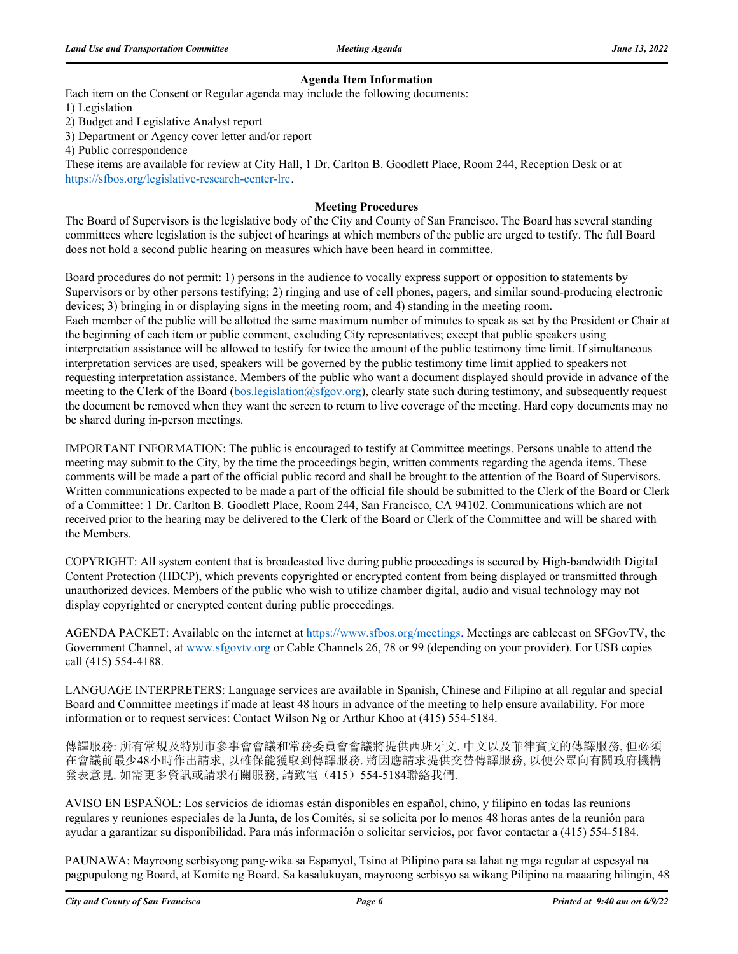#### **Agenda Item Information**

Each item on the Consent or Regular agenda may include the following documents:

1) Legislation

2) Budget and Legislative Analyst report

3) Department or Agency cover letter and/or report

4) Public correspondence

These items are available for review at City Hall, 1 Dr. Carlton B. Goodlett Place, Room 244, Reception Desk or at https://sfbos.org/legislative-research-center-lrc.

#### **Meeting Procedures**

The Board of Supervisors is the legislative body of the City and County of San Francisco. The Board has several standing committees where legislation is the subject of hearings at which members of the public are urged to testify. The full Board does not hold a second public hearing on measures which have been heard in committee.

Board procedures do not permit: 1) persons in the audience to vocally express support or opposition to statements by Supervisors or by other persons testifying; 2) ringing and use of cell phones, pagers, and similar sound-producing electronic devices; 3) bringing in or displaying signs in the meeting room; and 4) standing in the meeting room. Each member of the public will be allotted the same maximum number of minutes to speak as set by the President or Chair at the beginning of each item or public comment, excluding City representatives; except that public speakers using interpretation assistance will be allowed to testify for twice the amount of the public testimony time limit. If simultaneous interpretation services are used, speakers will be governed by the public testimony time limit applied to speakers not requesting interpretation assistance. Members of the public who want a document displayed should provide in advance of the meeting to the Clerk of the Board (bos.legislation@sfgov.org), clearly state such during testimony, and subsequently request the document be removed when they want the screen to return to live coverage of the meeting. Hard copy documents may no be shared during in-person meetings.

IMPORTANT INFORMATION: The public is encouraged to testify at Committee meetings. Persons unable to attend the meeting may submit to the City, by the time the proceedings begin, written comments regarding the agenda items. These comments will be made a part of the official public record and shall be brought to the attention of the Board of Supervisors. Written communications expected to be made a part of the official file should be submitted to the Clerk of the Board or Clerk of a Committee: 1 Dr. Carlton B. Goodlett Place, Room 244, San Francisco, CA 94102. Communications which are not received prior to the hearing may be delivered to the Clerk of the Board or Clerk of the Committee and will be shared with the Members.

COPYRIGHT: All system content that is broadcasted live during public proceedings is secured by High-bandwidth Digital Content Protection (HDCP), which prevents copyrighted or encrypted content from being displayed or transmitted through unauthorized devices. Members of the public who wish to utilize chamber digital, audio and visual technology may not display copyrighted or encrypted content during public proceedings.

AGENDA PACKET: Available on the internet at https://www.sfbos.org/meetings. Meetings are cablecast on SFGovTV, the Government Channel, at www.sfgovtv.org or Cable Channels 26, 78 or 99 (depending on your provider). For USB copies call (415) 554-4188.

LANGUAGE INTERPRETERS: Language services are available in Spanish, Chinese and Filipino at all regular and special Board and Committee meetings if made at least 48 hours in advance of the meeting to help ensure availability. For more information or to request services: Contact Wilson Ng or Arthur Khoo at (415) 554-5184.

傳譯服務: 所有常規及特別市參事會會議和常務委員會會議將提供西班牙文, 中文以及菲律賓文的傳譯服務, 但必須 在會議前最少48小時作出請求, 以確保能獲取到傳譯服務. 將因應請求提供交替傳譯服務, 以便公眾向有關政府機構 發表意見. 如需更多資訊或請求有關服務, 請致電(415) 554-5184聯絡我們.

AVISO EN ESPAÑOL: Los servicios de idiomas están disponibles en español, chino, y filipino en todas las reunions regulares y reuniones especiales de la Junta, de los Comités, si se solicita por lo menos 48 horas antes de la reunión para ayudar a garantizar su disponibilidad. Para más información o solicitar servicios, por favor contactar a (415) 554-5184.

PAUNAWA: Mayroong serbisyong pang-wika sa Espanyol, Tsino at Pilipino para sa lahat ng mga regular at espesyal na pagpupulong ng Board, at Komite ng Board. Sa kasalukuyan, mayroong serbisyo sa wikang Pilipino na maaaring hilingin, 48